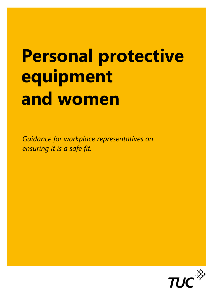# **Personal protective equipment and women**

*Guidance for workplace representatives on ensuring it is a safe fit.* 

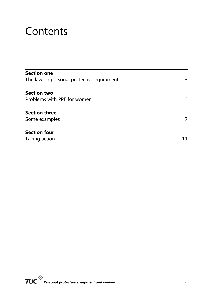## **Contents**

| <b>Section one</b>                       |    |
|------------------------------------------|----|
| The law on personal protective equipment | 3  |
| <b>Section two</b>                       |    |
| Problems with PPE for women              | 4  |
| <b>Section three</b>                     |    |
| Some examples                            | 7  |
| <b>Section four</b>                      |    |
| Taking action                            | 11 |
|                                          |    |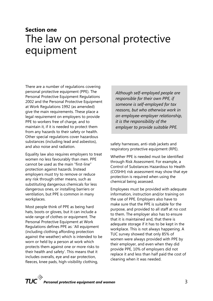## **Section one**  The law on personal protective equipment

There are a number of regulations covering personal protective equipment (PPE). The Personal Protective Equipment Regulations 2002 and the Personal Protective Equipment at Work Regulations 1992 (as amended) give the main requirements. These place a legal requirement on employers to provide PPE to workers free of charge, and to maintain it, if it is needed to protect them from any hazards to their safety or health. Other special regulations cover hazardous substances (including lead and asbestos), and also noise and radiation.

Equality law also requires employers to treat women no less favourably than men. PPE cannot be used as the main "first-line" protection against hazards. Instead employers must try to remove or reduce any risk through other means, such as substituting dangerous chemicals for less dangerous ones, or installing barriers or ventilation, but PPE is common in many workplaces.

Most people think of PPE as being hard hats, boots or gloves, but it can include a wide range of clothes or equipment. The Personal Protective Equipment at Work Regulations defines PPE as: 'All equipment (including clothing affording protection against the weather) which is intended to be worn or held by a person at work which protects them against one or more risks to their health and safety'. This means that it includes overalls, eye and ear protection, fleeces, knee pads, high-visibility clothing,

*Although self-employed people are responsible for their own PPE, if someone is self-employed for tax reasons, but who otherwise work in an employee-employer relationship, it is the responsibility of the employer to provide suitable PPE.*

safety harnesses, anti-stab jackets and respiratory protective equipment (RPE).

Whether PPE is needed must be identified through Risk Assessment. For example, a Control of Substances Hazardous to Health (COSHH) risk assessment may show that eye protection is required when using the chemical being assessed.

Employees must be provided with adequate information, instruction and/or training on the use of PPE. Employers also have to make sure that the PPE is suitable for the purpose, and provided to all staff at no cost to them. The employer also has to ensure that it is maintained and, that there is adequate storage if it has to be kept in the workplace. This is not always happening. A TUC survey showed that only 85% of women were always provided with PPE by their employer, and even when they did provide PPE, 10% of employers did not replace it and less than half paid the cost of cleaning when it was needed.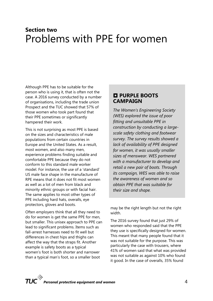## **Section two**  Problems with PPE for women

Although PPE has to be suitable for the person who is using it, that is often not the case. A 2016 survey conducted by a number of organisations, including the trade union Prospect and the TUC showed that 57% of those women who took part found that their PPE sometimes or significantly hampered their work.

This is not surprising as most PPE is based on the sizes and characteristics of male populations from certain countries in Europe and the United States. As a result, most women, and also many men, experience problems finding suitable and comfortable PPE because they do not conform to this standard male worker model. For instance, the use of a 'standard' US male face shape in the manufacture of RPE means that it does not fit most women as well as a lot of men from black and minority ethnic groups or with facial hair. The same applies to most other types of PPE including hard hats, overalls, eye protectors, gloves and boots.

Often employers think that all they need to do for women is get the same PPE for men, but smaller. This unisex approach to PPE can lead to significant problems. Items such as fall-arrest harnesses need to fit well but differences in chest hips and thighs can affect the way that the straps fit. Another example is safety boots as a typical women's foot is both shorter and narrower than a typical man's foot, so a smaller boot

#### **PURPLE BOOTS CAMPAIGN**

*The Women's Engineering Society (WES) explored the issue of poor fitting and unsuitable PPE in construction by conducting a largescale safety clothing and footwear survey. The survey results showed a lack of availability of PPE designed for women, it was usually smaller sizes of menswear. WES partnered with a manufacturer to develop and retail a new pair of boots. Through its campaign, WES was able to raise the awareness of women and so obtain PPE that was suitable for their size and shape.* 

may be the right length but not the right width.

The 2016 survey found that just 29% of women who responded said that the PPE they use is specifically designed for women. This meant that many people found that it was not suitable for the purpose. This was particularly the case with trousers, where 41% of women said that what was provided was not suitable as against 10% who found it good. In the case of overalls, 35% found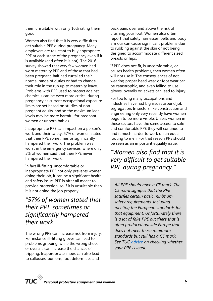them unsuitable with only 10% rating them good.

Women also find that it is very difficult to get suitable PPE during pregnancy. Many employers are reluctant to buy appropriate PPE at each stage of the pregnancy even if it is available (and often it is not). The 2016 survey showed that very few women had worn maternity PPE and of those that had been pregnant, half had curtailed their normal range of duties or had to change their role in the run up to maternity leave. Problems with PPE used to protect against chemicals can be even more critical during pregnancy as current occupational exposure limits are set based on studies of nonpregnant adults, and so the maximum legal levels may be more harmful for pregnant women or unborn babies.

Inappropriate PPE can impact on a person's work and their safety. 57% of women stated that their PPE sometimes or significantly hampered their work. The problem was worst in the emergency services, where only 5% of women said that their PPE never hampered their work.

In fact ill-fitting, uncomfortable or inappropriate PPE not only prevents women doing their job, it can be a significant health and safety issue. PPE is after all meant to provide protection, so if it is unsuitable then it is not doing the job properly.

#### *"57% of women stated that their PPE sometimes or significantly hampered their work."*

The wrong PPE can increase risk from injury. For instance ill-fitting gloves can lead to problems gripping, while the wrong shoes or overalls can increase the chances of tripping. Inappropriate shoes can also lead to callouses, bunions, foot deformities and

back pain, over and above the risk of crushing your foot. Women also often report that safety harnesses, belts and body armour can cause significant problems due to rubbing against the skin or not being designed to accommodate different sized breasts or hips.

If PPE does not fit, is uncomfortable, or causes health problems, then women often will not use it. The consequences of not wearing proper head wear or foot wear can be catastrophic, and even failing to use gloves, overalls or jackets can lead to injury.

For too long many occupations and industries have had big issues around job segregation. In sectors like construction and engineering only very recently have women begun to be more visible. Unless women in these sectors have the same access to safe and comfortable PPE they will continue to find it much harder to work on an equal footing to men. For that reason PPE should be seen as an important equality issue.

*"Women also find that it is very difficult to get suitable PPE during pregnancy."* 

*All PPE should have a CE mark. The CE mark signifies that the PPE satisfies certain basic minimum safety requirements, including meeting the European standards for that equipment. Unfortunately there is a lot of fake PPE out there that is often produced outside Europe that does not meet these minimum standards but still has a CE mark. See TUC advice on checking whether your PPE is legal.*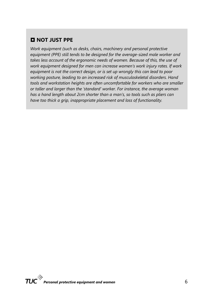#### **NOT JUST PPE**

*Work equipment (such as desks, chairs, machinery and personal protective equipment (PPE) still tends to be designed for the average-sized male worker and takes less account of the ergonomic needs of women. Because of this, the use of work equipment designed for men can increase women's work injury rates. If work equipment is not the correct design, or is set up wrongly this can lead to poor working posture, leading to an increased risk of musculoskeletal disorders. Hand tools and workstation heights are often uncomfortable for workers who are smaller or taller and larger than the 'standard' worker. For instance, the average woman has a hand length about 2cm shorter than a man's, so tools such as pliers can have too thick a grip, inappropriate placement and loss of functionality.*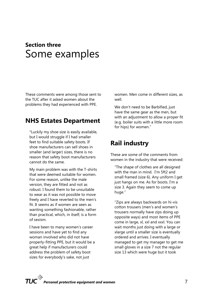## **Section three**  Some examples

These comments were among those sent to the TUC after it asked women about the problems they had experienced with PPE.

#### **NHS Estates Department**

"Luckily my shoe size is easily available, but I would struggle if I had smaller feet to find suitable safety boots. If shoe manufacturers can sell shoes in smaller (and larger) sizes, there is no reason that safety boot manufacturers cannot do the same.

My main problem was with the T-shirts that were deemed suitable for women. For some reason, unlike the male version, they are fitted and not as robust. I found them to be unsuitable to wear as it was not possible to move freely and I have reverted to the men's fit. It seems as if women are seen as wanting something fashionable, rather than practical, which, in itself, is a form of sexism.

I have been to many women's career sessions and have yet to find any woman involved who did not have properly-fitting PPE, but it would be a great help if manufacturers could address the problem of safety boot sizes for everybody's sake, not just

women. Men come in different sizes, as well.

We don't need to be Barbified, just have the same gear as the men, but with an adjustment to allow a proper fit (e.g. boiler suits with a little more room for hips) for women."

#### **Rail industry**

These are some of the comments from women in the industry that were received:

"The shape of clothes are all designed with the man in mind. I'm 5ft2 and small framed (size 6). Any uniform I get just hangs on me. As for boots. I'm a size 3. Again they seem to come up huge."

"Zips are always backwards on hi-vis cotton trousers (men's and women's trousers normally have zips doing up opposite ways) and most items of PPE come in large, xl, xxl and xxxl. You can wait months just doing with a large or xlarge until a smaller size is eventually ordered and arrives. I eventually managed to get my manager to get me small gloves in a size 7 not the regular size 13 which were huge but it took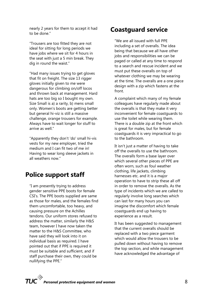nearly 2 years for them to accept it had to be done."

"Trousers are too fitted they are not ideal for sitting for long periods we have jobs where we sit for 4 hours in the seat with just a 5 min break. They dig in round the waist."

"Had many issues trying to get gloves that fit on freight. The size 13 rigger gloves initially given to me were dangerous for climbing on/off locos and thrown back at management. Hard hats are too big so I bought my own. Size Small is a) a rarity, b) mens small only. Women's boots are getting better but general hi-viz is still a massive challenge, orange trousers for example. Always have to wait longer for stuff to arrive as well."

"Apparently they don't 'do' small hi-vis vests for my new employer, tried the medium and I can fit two of me in! Having to wear long sleeve jackets in all weathers now."

#### **Police support staff**

"I am presently trying to address gender sensitive PPE boots for female CSI's. The PPE boots supplied are same as those for males, and the females find them uncomfortable, too heavy, and causing pressure on the Achilles tendons. Our uniform stores refused to address the matter, similarly the H&S team, however I have now taken the matter to the H&S Committee, who have said they will look into it on individual basis as required. I have pointed out that if PPE is required it must be suitable and sufficient, and if staff purchase their own, they could be nullifying the PPE."

#### **Coastguard service**

"We are all issued with full PPE including a set of overalls. The idea being that because we all have other jobs and responsibilities we can be paged or called at any time to respond to a search and rescue incident and we must put these overalls on top of whatever clothing we may be wearing at the time. The overalls are a one piece design with a zip which fastens at the front.

A complaint which many of my female colleagues have regularly made about the overalls is that they make it very inconvenient for female coastguards to use the toilet while wearing them. There is a double zip at the front which is great for males, but for female coastguards it is very impractical to go to the bathroom.

It isn't just a matter of having to take off the overalls to use the bathroom. The overalls form a base layer over which several other pieces of PPE are often worn, such as foul weather clothing, life jackets, climbing harnesses etc. and it is a major operation to have to strip these all off in order to remove the overalls. As the type of incidents which we are called to regularly involve long searches which can last for many hours you can imagine the discomfort which female coastguards end up having to experience as a result.

It has been suggested to management that the current overalls should be replaced with a two piece garment which would allow the trousers to be pulled down without having to remove the top section, and while management have acknowledged the advantage of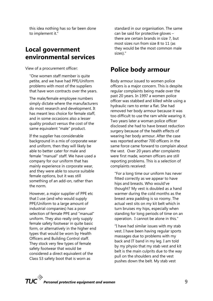this idea nothing has so far been done to implement it."

#### **Local government environmental services**

View of a procurement officer:

"One women staff member is quite petite, and we have had PPE/Uniform problems with most of the suppliers that have won contracts over the years.

The male/female employee numbers simply dictate where the manufacturers do most research and development. It has meant less choice for female staff, and in some occasions also a lesser quality product versus the cost of the same equivalent "male" product.

If the supplier has considerable background in a mix of corporate wear and uniform, then they will likely be able to better cater for male and female "manual" staff. We have used a company for our uniform that has mainly experience in corporate wear, and they were able to source suitable female options, but it was still something of an add-on, rather than the norm.

However, a major supplier of PPE etc that I use (and who would supply PPE/Uniform to a large amount of industrial companies) has a poor selection of female PPE and "manual" uniform. They also really only supply female safety footwear in quite basic form, or alternatively in the higher end types that would be worn by Health Officers and Building Control staff. They stock very few types of female safety footwear that would be considered a direct equivalent of the Class S3 safety boot that is worn as

standard in our organisation. The same can be said for protective gloves – there are certain brands in size 7, but most sizes run from size 8 to 11 (as they would be the most common male sizes)."

#### **Police body armour**

Body armour issued to women police officers is a major concern. This is despite regular complaints being made over the past 20 years. In 1997 a women police officer was stabbed and killed while using a hydraulic ram to enter a flat. She had removed her body armour because it was too difficult to use the ram while wearing it. Two years later a woman police officer disclosed she had to have breast reduction surgery because of the health effects of wearing her body armour. After the case was reported another 700 officers in the same force came forward to complain about the vest. Over 20 years after complaints were first made, women officers are still reporting problems. This is a selection of complaints received:

"For a long time our uniform has never fitted correctly as we appear to have hips and breasts. Who would've thought? My vest is doubled as a hand warmer during the cold months as the breast area padding is so roomy. The actual vest sits on my kit belt which in turn bruises my hips, especially when standing for long periods of time on an operation. I cannot be alone in this."

"I have had similar issues with my stab vest. I have been having regular sports massages due to problems with my back and IT band in my leg. I am told by my physio that my stab vest and kit belt is the main culprits due to the way pull on the shoulders and the vest pushes down the belt. My stab vest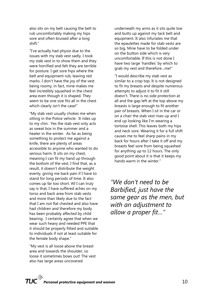also sits on my belt causing the belt to rub uncomfortably making my hips sore and often bruised after a long shift."

"I've actually had physio due to the issues with my stab vest sadly. I took my stab vest in to show them and they were horrified and felt they are terrible for posture. I get sore hips where the belt and equipment rub, leaving red marks. I don't have the joy of the vest being roomy, in fact, mine makes me feel incredibly squashed in the chest area even though it is shaped. They seem to be one size fits all in the chest which clearly isn't the case!"

"My stab vest usually chokes me when sitting in the Police vehicle. It rides up to my chin. Yes the stab vest only acts as sweat box in the summer and a heater in the winter. As far as being something to protect me against a knife, there are plenty of areas accessible to anyone who wanted to do serious harm. It sits on my chest, meaning I can fit my hand up through the bottom of the vest. I find that, as a result, it doesn't distribute the weight evenly, giving me back pain if I have to stand for long periods of time. It also comes up far too short. All I can truly say is that, I have suffered aches on my torso and back area from stab vests and more than likely due to the fact that I am not flat chested and also have had children and therefore my body has been probably affected by child bearing. I certainly agree that when we wear such heavy and needed PPE that it should be properly fitted and suitable to individuals if not at least suitable for the female body shape."

"My vest is all loose above the breast area and towards the shoulder, so loose it sometimes bows out! The vest also has large areas uncovered

underneath my arms as it sits quite low and butts up against my tack belt and equipment. It also infuriates me that the epaulettes made for stab vests are so big. Mine have to be folded under on the button side which is very uncomfortable. If this is not done I have two large 'handles' by which to grab my vest and therefore…me!"

"I would describe my stab vest as similar to a crop top. It is not designed to fit my breasts and despite numerous attempts to adjust it to fit it still doesn't. There is no side protection at all and the gap left at the top above my breasts is large enough to fit another pair of breasts. When I sit in the car or on a chair the stab vest rises up and I end up looking like I'm wearing a tortoise shell. This leaves both my hips and neck sore. Wearing it for a full shift causes me to feel sharp pains in my back for hours after I take it off and my breasts feel sore from being squashed for anything up to 12 hours. The only good point about it is that it keeps my hands warm in the winter."

*"We don't need to be Barbified, just have the same gear as the men, but with an adjustment to allow a proper fit…"*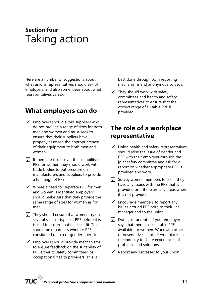## **Section four**  Taking action

Here are a number of suggestions about what unions representatives should ask of employers, and also some ideas about what representatives can do.

#### **What employers can do**

- $\overline{V}$  Employers should avoid suppliers who do not provide a range of sizes for both men and women and must seek to ensure that their suppliers have properly assessed the appropriateness of their equipment to both men and women.
- $\sqrt{ }$  If there are issues over the suitability of PPE for women they should work with trade bodies to put pressure on manufacturers and suppliers to provide a full range of PPE.
- $\overline{V}$  Where a need for separate PPE for men and women is identified employers should make sure that they provide the same range of sizes for women as for men.
- $\overline{M}$  They should ensure that women try on several sizes or types of PPE before it is issued to ensure that it is best fit. This should be regardless whether PPE is considered unisex or gender-specific.
- $\sqrt{\phantom{a}}$  Employers should provide mechanisms to ensure feedback on the suitability of PPE either to safety committees, or occupational health providers. This is

best done through both reporting mechanisms and anonymous surveys.

 $\sqrt{ }$  They should work with safety committees and health and safety representatives to ensure that the correct range of suitable PPE is provided.

#### **The role of a workplace representative**

- $\sqrt{ }$  Union health and safety representatives should raise the issue of gender and PPE with their employer through the joint safety committee and ask for a report on whether appropriate PPE is provided and worn.
- $\sqrt{\phantom{a}}$  Survey women members to see if they have any issues with the PPE that is provided or if there are any areas where it is not provided.
- $\overline{V}$  Encourage members to report any issues around PPE both to their line manager and to the union.
- $\triangledown$  Don't just accept it if your employer says that there is no suitable PPE available for women. Work with other representatives in other workplaces in the industry to share experiences of problems and solutions.
- $\sqrt{\phantom{a}}$  Report any successes to your union.